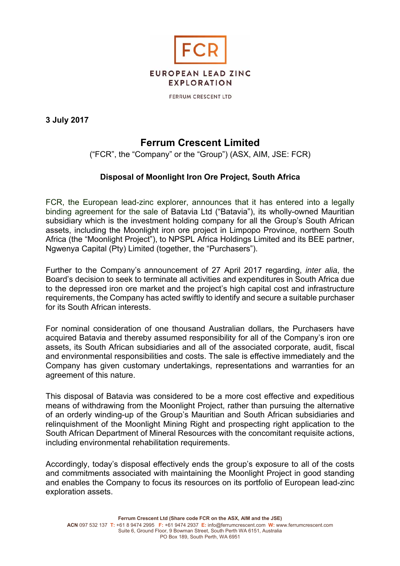

FERRUM CRESCENT LTD

**3 July 2017** 

# **Ferrum Crescent Limited**

("FCR", the "Company" or the "Group") (ASX, AIM, JSE: FCR)

## **Disposal of Moonlight Iron Ore Project, South Africa**

FCR, the European lead-zinc explorer, announces that it has entered into a legally binding agreement for the sale of Batavia Ltd ("Batavia"), its wholly-owned Mauritian subsidiary which is the investment holding company for all the Group's South African assets, including the Moonlight iron ore project in Limpopo Province, northern South Africa (the "Moonlight Project"), to NPSPL Africa Holdings Limited and its BEE partner, Ngwenya Capital (Pty) Limited (together, the "Purchasers").

Further to the Company's announcement of 27 April 2017 regarding, *inter alia*, the Board's decision to seek to terminate all activities and expenditures in South Africa due to the depressed iron ore market and the project's high capital cost and infrastructure requirements, the Company has acted swiftly to identify and secure a suitable purchaser for its South African interests.

For nominal consideration of one thousand Australian dollars, the Purchasers have acquired Batavia and thereby assumed responsibility for all of the Company's iron ore assets, its South African subsidiaries and all of the associated corporate, audit, fiscal and environmental responsibilities and costs. The sale is effective immediately and the Company has given customary undertakings, representations and warranties for an agreement of this nature.

This disposal of Batavia was considered to be a more cost effective and expeditious means of withdrawing from the Moonlight Project, rather than pursuing the alternative of an orderly winding-up of the Group's Mauritian and South African subsidiaries and relinquishment of the Moonlight Mining Right and prospecting right application to the South African Department of Mineral Resources with the concomitant requisite actions, including environmental rehabilitation requirements.

Accordingly, today's disposal effectively ends the group's exposure to all of the costs and commitments associated with maintaining the Moonlight Project in good standing and enables the Company to focus its resources on its portfolio of European lead-zinc exploration assets.